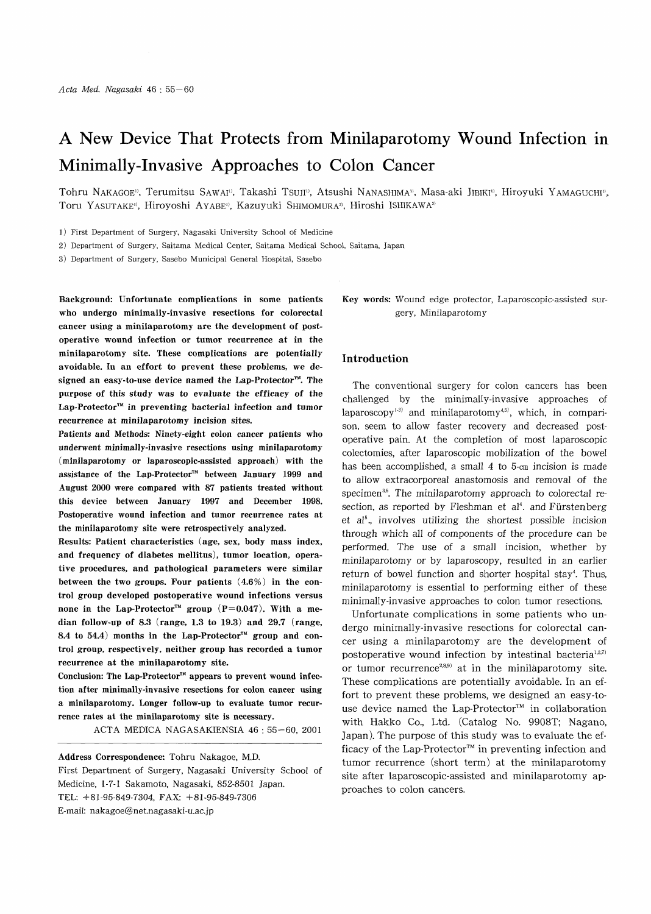# A New Device That Protects from Minilaparotomy Wound Infection in Minimally-Invasive Approaches to Colon Cancer

Tohru NAKAGOE<sup>1</sup>, Terumitsu SAWAI<sup>1</sup>, Takashi TSUJI<sup>1</sup>, Atsushi NANASHIMA<sup>1</sup>, Masa-aki JIBIKI<sup>1</sup>, Hiroyuki YAMAGUCHI<sup>1</sup>, Toru YASUTAKE<sup>1</sup>, Hiroyoshi AYABE<sup>1</sup>, Kazuyuki SHIMOMURA<sup>2</sup>, Hiroshi ISHIKAWA<sup>3</sup>

- 1) First Department of Surgery, Nagasaki University School of Medicine
- 2) Department of Surgery, Saitama Medical Center, Saitama Medical School, Saitama, Japan
- 3) Department of Surgery, Sasebo Municipal General Hospital, Sasebo

Background: Unfortunate complications in some patients who undergo minimally-invasive resections for colorectal cancer using a minilaparotomy are the development of postoperative wound infection or tumor recurrence at in the minilaparotomy site. These complications are potentially avoidable. In an effort to prevent these problems, we designed an easy-to-use device named the Lap-Protector<sup>™</sup>. The purpose of this study was to evaluate the efficacy of the  $\text{Lap-Protector}^{\mathfrak{m}}$  in preventing bacterial infection and tumor recurrence at minilaparotomy incision sites.

Patients and Methods: Ninety-eight colon cancer patients who underwent minimally-invasive resections using minilaparotomy (minilaparotomy or laparoscopic-assisted approach) with the assistance of the Lap-Protector<sup>™</sup> between January 1999 and August 2000 were compared with 87 patients treated without this device between January 1997 and December 1998. Postoperative wound infection and tumor recurrence rates at the minilaparotomy site were retrospectively analyzed.

Results: Patient characteristics (age, sex, body mass index, and frequency of diabetes mellitus), tumor location, operative procedures, and pathological parameters were similar between the two groups. Four patients (4.6%) in the control group developed postoperative wound infections versus none in the Lap-Protector<sup> $m$ </sup> group (P=0.047). With a median follow-up of 8.3 (range, 1.3 to 19.3) and 29.7 (range, 8.4 to 54.4) months in the Lap-Protector<sup>TM</sup> group and control group, respectively, neither group has recorded a tumor recurrence at the minilaparotomy site.

Conclusion: The Lap-Protector<sup> $m$ </sup> appears to prevent wound infection after minimally-invasive resections for colon cancer using a minilaparotomy. Longer follow-up to evaluate tumor recurrence rates at the minilaparotomy site is necessary.

ACTA MEDICA NAGASAKIENSIA 46 : 55-60, 2001

Address Correspondence: Tohru Nakagoe, M.D. First Department of Surgery, Nagasaki University School of Medicine, 1-7-1 Sakamoto, Nagasaki, 852-8501 Japan. TEL: +81-95-849-7304, FAX: +81-95-849-7306 E-mail: nakagoe@net.nagasaki-u.ac.jp

Key words: Wound edge protector, Laparoscopic-assisted surgery, Minilaparotomy

## Introduction

 The conventional surgery for colon cancers has been challenged by the minimally-invasive approaches of laparoscopy<sup>1-3)</sup> and minilaparotomy<sup>4,5)</sup>, which, in comparison, seem to allow faster recovery and decreased postoperative pain. At the completion of most laparoscopic colectomies, after laparoscopic mobilization of the bowel has been accomplished, a small 4 to 5-cm incision is made to allow extracorporeal anastomosis and removal of the specimen<sup>36</sup>. The minilaparotomy approach to colorectal resection, as reported by Fleshman et al<sup>4</sup>. and Fürstenberg et a15., involves utilizing the shortest possible incision through which all of components of the procedure can be performed. The use of a small incision, whether by minilaparotomy or by laparoscopy, resulted in an earlier return of bowel function and shorter hospital stay'. Thus, minilaparotomy is essential to performing either of these minimally-invasive approaches to colon tumor resections.

Unfortunate complications in some patients who undergo minimally-invasive resections for colorectal cancer using a minilaparotomy are the development of postoperative wound infection by intestinal bacteria<sup>1,2,7)</sup> or tumor recurrence<sup>28,9)</sup> at in the minilaparotomy site. These complications are potentially avoidable. In an effort to prevent these problems, we designed an easy-touse device named the Lap-Protector™ in collaboration with Hakko Co., Ltd. (Catalog No. 9908T; Nagano, Japan). The purpose of this study was to evaluate the efficacy of the Lap-Protector<sup> $m$ </sup> in preventing infection and tumor recurrence (short term) at the minilaparotomy site after laparoscopic-assisted and minilaparotomy approaches to colon cancers.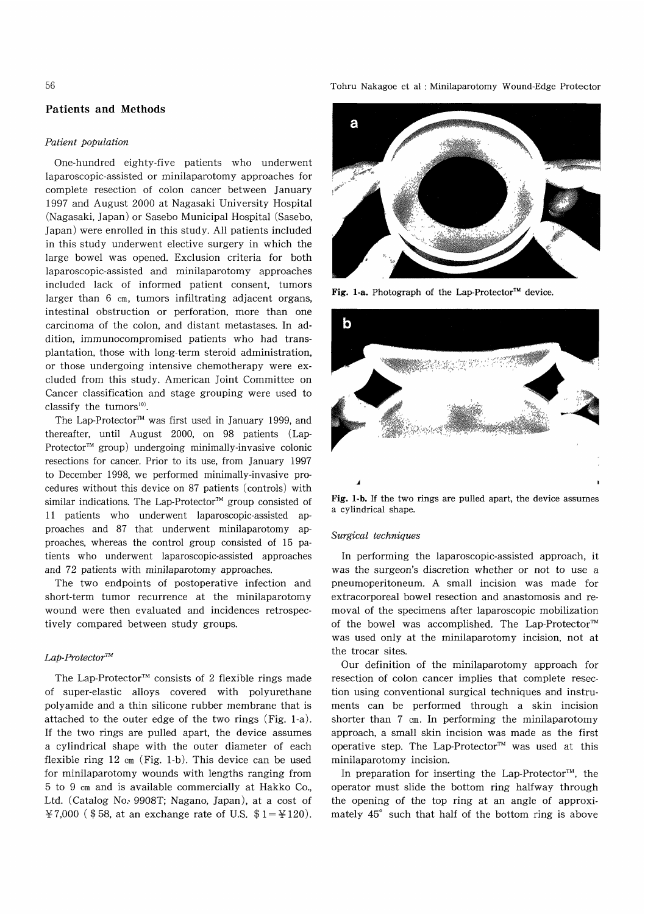# 56

# Patients and Methods

#### Patient population

One-hundred eighty-five patients who underwent laparoscopic-assisted or minilaparotomy approaches for complete resection of colon cancer between January 1997 and August 2000 at Nagasaki University Hospital (Nagasaki, Japan) or Sasebo Municipal Hospital (Sasebo, Japan) were enrolled in this study. All patients included in this study underwent elective surgery in which the large bowel was opened. Exclusion criteria for both laparoscopic-assisted and minilaparotomy approaches included lack of informed patient consent, tumors larger than 6 cm, tumors infiltrating adjacent organs, intestinal obstruction or perforation, more than one carcinoma of the colon, and distant metastases. In addition, immunocompromised patients who had transplantation, those with long-term steroid administration, or those undergoing intensive chemotherapy were excluded from this study. American Joint Committee on Cancer classification and stage grouping were used to classify the tumors<sup>10)</sup>.

The Lap-Protector<sup>™</sup> was first used in January 1999, and thereafter, until August 2000, on 98 patients (Lap-Protector<sup>™</sup> group) undergoing minimally-invasive colonic resections for cancer. Prior to its use, from January 1997 to December 1998, we performed minimally-invasive procedures without this device on 87 patients (controls) with similar indications. The Lap-Protector<sup>™</sup> group consisted of 11 patients who underwent laparoscopic-assisted approaches and 87 that underwent minilaparotomy approaches, whereas the control group consisted of 15 patients who underwent laparoscopic-assisted approaches and 72 patients with minilaparotomy approaches.

The two endpoints of postoperative infection and short-term tumor recurrence at the minilaparotomy wound were then evaluated and incidences retrospectively compared between study groups.

# $Lap\text{-}Protector^{\text{TM}}$

The Lap-Protector<sup> $M$ </sup> consists of 2 flexible rings made of super-elastic alloys covered with polyurethane polyamide and a thin silicone rubber membrane that is attached to the outer edge of the two rings (Fig. 1-a). If the two rings are pulled apart, the device assumes a cylindrical shape with the outer diameter of each flexible ring 12 cm (Fig. 1-b). This device can be used for minilaparotomy wounds with lengths ranging from 5 to 9 cm and is available commercially at Hakko Co., Ltd. (Catalog No. 9908T; Nagano, Japan), at a cost of ¥7,000 (\$58, at an exchange rate of U.S.  $$1 = 4120$ ).

Tohru Nakagoe et al : Minilaparotomy Wound-Edge Protector



Fig. 1-a. Photograph of the Lap-Protector<sup>TM</sup> device.



Fig. 1-b. If the two rings are pulled apart, the device assumes a cylindrical shape.

# Surgical techniques

In performing the laparoscopic-assisted approach, it was the surgeon's discretion whether or not to use a pneumoperitoneum. A small incision was made for extracorporeal bowel resection and anastomosis and removal of the specimens after laparoscopic mobilization of the bowel was accomplished. The Lap-Protector<sup>TM</sup> was used only at the minilaparotomy incision, not at the trocar sites.

Our definition of the minilaparotomy approach for resection of colon cancer implies that complete resection using conventional surgical techniques and instruments can be performed through a skin incision shorter than 7 cm. In performing the minilaparotomy approach, a small skin incision was made as the first operative step. The Lap-Protector™ was used at this minilaparotomy incision.

In preparation for inserting the Lap-Protector<sup>TM</sup>, the operator must slide the bottom ring halfway through the opening of the top ring at an angle of approximately 45° such that half of the bottom ring is above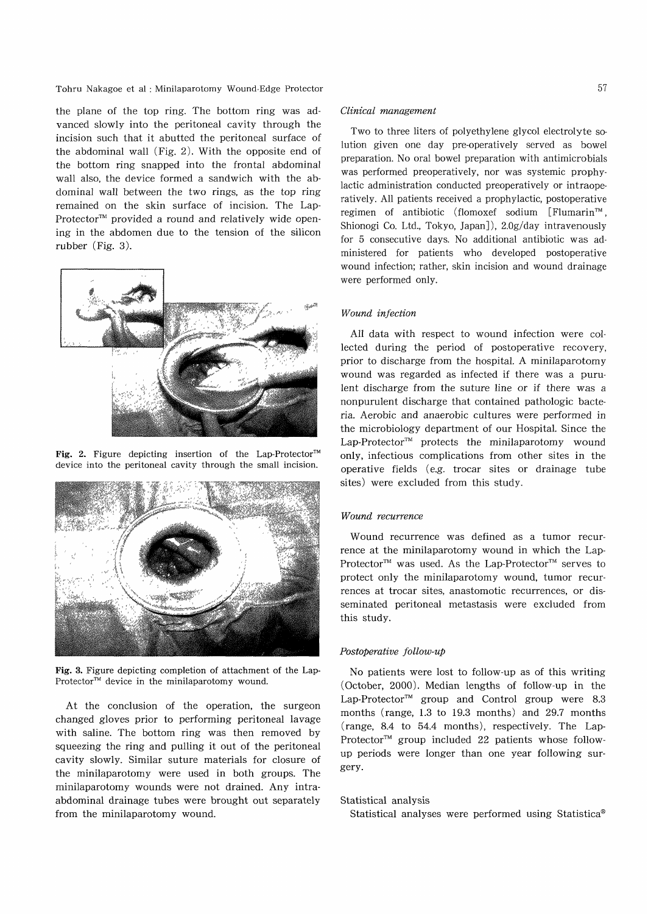#### Tohru Nakagoe et al : Minilaparotomy Wound-Edge Protector

the plane of the top ring. The bottom ring was advanced slowly into the peritoneal cavity through the incision such that it abutted the peritoneal surface of the abdominal wall (Fig. 2). With the opposite end of the bottom ring snapped into the frontal abdominal wall also, the device formed a sandwich with the abdominal wall between the two rings, as the top ring remained on the skin surface of incision. The Lap-Protector<sup> $m$ </sup> provided a round and relatively wide opening in the abdomen due to the tension of the silicon rubber (Fig. 3).



Fig. 2. Figure depicting insertion of the Lap-Protector<sup>™</sup> device into the peritoneal cavity through the small incision.



Fig. 3. Figure depicting completion of attachment of the Lap-Protector<sup>™</sup> device in the minilaparotomy wound.

At the conclusion of the operation, the surgeon changed gloves prior to performing peritoneal lavage with saline. The bottom ring was then removed by squeezing the ring and pulling it out of the peritoneal cavity slowly. Similar suture materials for closure of the minilaparotomy were used in both groups. The minilaparotomy wounds were not drained. Any intraabdominal drainage tubes were brought out separately from the minilaparotomy wound.

# Clinical management

Two to three liters of polyethylene glycol electrolyte solution given one day pre-operatively served as bowel preparation. No oral bowel preparation with antimicrobials was performed preoperatively, nor was systemic prophylactic administration conducted preoperatively or intraoperatively. All patients received a prophylactic, postoperative regimen of antibiotic (flomoxef sodium [Flumarin<sup>™</sup>, Shionogi Co. Ltd., Tokyo, Japan] ), 2.0g/day intravenously for 5 consecutive days. No additional antibiotic was administered for patients who developed postoperative wound infection; rather, skin incision and wound drainage were performed only.

# Wound infection

All data with respect to wound infection were collected during the period of postoperative recovery, prior to discharge from the hospital. A minilaparotomy wound was regarded as infected if there was a purulent discharge from the suture line or if there was a nonpurulent discharge that contained pathologic bacteria. Aerobic and anaerobic cultures were performed in the microbiology department of our Hospital. Since the  $Lap-Protector^{TM}$  protects the minilaparotomy wound only, infectious complications from other sites in the operative fields (e.g. trocar sites or drainage tube sites) were excluded from this study.

# Wound recurrence

Wound recurrence was defined as a tumor recurrence at the minilaparotomy wound in which the Lap-Protector<sup>™</sup> was used. As the Lap-Protector<sup>™</sup> serves to protect only the minilaparotomy wound, tumor recurrences at trocar sites, anastomotic recurrences, or disseminated peritoneal metastasis were excluded from this study.

#### Postoperative follow-up

No patients were lost to follow-up as of this writing (October, 2000). Median lengths of follow-up in the Lap-Protector<sup>™</sup> group and Control group were 8.3 months (range, 1.3 to 19.3 months) and 29.7 months (range, 8.4 to 54.4 months), respectively. The Lap-Protector<sup> $M$ </sup> group included 22 patients whose followup periods were longer than one year following surgery.

#### Statistical analysis

Statistical analyses were performed using Statistica<sup>®</sup>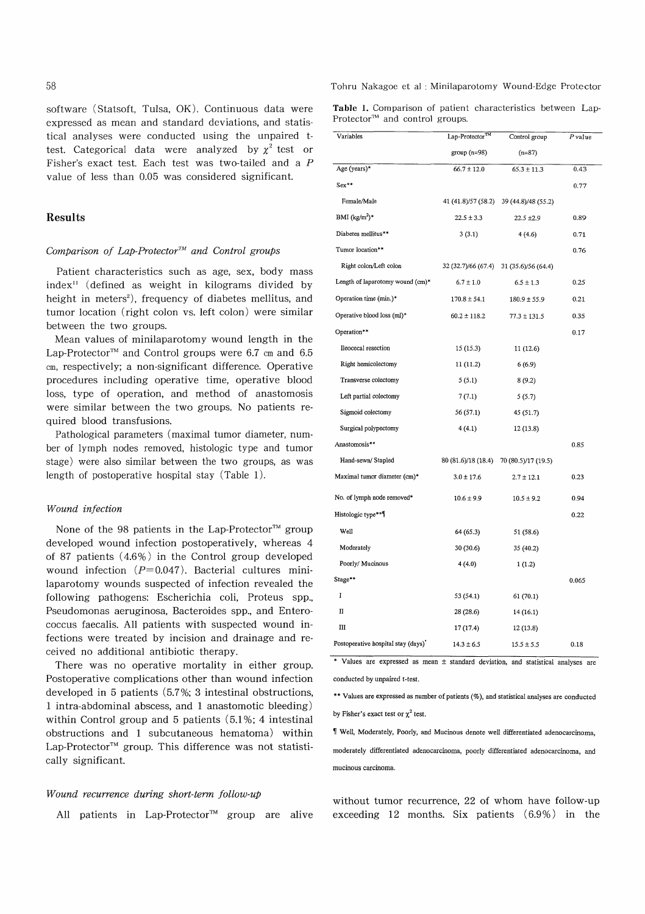software (Statsoft, Tulsa, OK). Continuous data were expressed as mean and standard deviations, and statistical analyses were conducted using the unpaired ttest. Categorical data were analyzed by  $\chi^2$  test or Fisher's exact test. Each test was two-tailed and a P value of less than 0.05 was considered significant.

# Results

## Comparison of Lap-Protector<sup> $m$ </sup> and Control groups

Patient characteristics such as age, sex, body mass index" (defined as weight in kilograms divided by height in meters'), frequency of diabetes mellitus, and tumor location (right colon vs. left colon) were similar between the two groups.

Mean values of minilaparotomy wound length in the Lap-Protector<sup>TM</sup> and Control groups were 6.7 cm and 6.5 cm, respectively; a non-significant difference. Operative procedures including operative time, operative blood loss, type of operation, and method of anastomosis were similar between the two groups. No patients required blood transfusions.

Pathological parameters (maximal tumor diameter, number of lymph nodes removed, histologic type and tumor stage) were also similar between the two groups, as was length of postoperative hospital stay (Table 1).

#### Wound infection

None of the 98 patients in the Lap-Protector<sup>™</sup> group developed wound infection postoperatively, whereas 4 of 87 patients (4.6%) in the Control group developed wound infection  $(P=0.047)$ . Bacterial cultures minilaparotomy wounds suspected of infection revealed the following pathogens: Escherichia coli, Proteus spp., Pseudomonas aeruginosa, Bacteroides spp., and Enterococcus faecalis. All patients with suspected wound infections were treated by incision and drainage and received no additional antibiotic therapy.

There was no operative mortality in either group. Postoperative complications other than wound infection developed in 5 patients (5.7%; 3 intestinal obstructions, 1 intra-abdominal abscess, and 1 anastomotic bleeding) within Control group and 5 patients (5.1%; 4 intestinal obstructions and 1 subcutaneous hematoma) within Lap-Protector<sup> $M$ </sup> group. This difference was not statistically significant.

### Wound recurrence during short-term follow-up

All patients in Lap-Protector<sup>TM</sup> group are alive

Tohru Nakagoe et al : Minilaparotomy Wound-Edge Protector

Table 1. Comparison of patient characteristics between Lap-Protector<sup>™</sup> and control groups.

| Variables                                       | Lap-Protector <sup>™</sup>              | Control group                           | P value |
|-------------------------------------------------|-----------------------------------------|-----------------------------------------|---------|
|                                                 | group (n=98)                            | $(n=87)$                                |         |
| Age (years)*                                    | $66.7 \pm 12.0$                         | $65.3 \pm 11.3$                         | 0.43    |
| Sex**                                           |                                         |                                         | 0.77    |
| Female/Male                                     | 41 (41.8)/57 (58.2)                     | 39 (44.8)/48 (55.2)                     |         |
| BMI $(kg/m^2)^*$                                | $22.5 \pm 3.3$                          | 22.5 ±2.9                               | 0.89    |
| Diabetes mellitus**                             | 3(3.1)                                  | 4(4.6)                                  | 0.71    |
| Tumor location**                                |                                         |                                         | 0.76    |
| Right colon/Left colon                          |                                         | 32 (32.7)/66 (67.4) 31 (35.6)/56 (64.4) |         |
| Length of laparotomy wound (cm)*                | $6.7 \pm 1.0$                           | $6.5 \pm 1.3$                           | 0.25    |
| Operation time (min.)*                          | $170.8 \pm 54.1$                        | $180.9 \pm 55.9$                        | 0.21    |
| Operative blood loss (ml)*                      | $60.2 \pm 118.2$                        | $77.3 \pm 131.5$                        | 0.35    |
| Operation**                                     |                                         |                                         | 0.17    |
| Ileocecal resection                             | 15(15.3)                                | 11(12.6)                                |         |
| Right hemicolectomy                             | 11(11.2)                                | 6(6.9)                                  |         |
| Transverse colectomy                            | 5(5.1)                                  | 8(9.2)                                  |         |
| Left partial colectomy                          | 7(7.1)                                  | 5(5.7)                                  |         |
| Sigmoid colectomy                               | 56 (57.1)                               | 45 (51.7)                               |         |
| Surgical polypectomy                            | 4(4.1)                                  | 12 (13.8)                               |         |
| Anastomosis**                                   |                                         |                                         | 0.85    |
| Hand-sewn/ Stapled                              | 80 (81.6)/18 (18.4) 70 (80.5)/17 (19.5) |                                         |         |
| Maximal tumor diameter (cm)*                    | $3.0 \pm 17.6$                          | $2.7 \pm 12.1$                          | 0.23    |
| No. of lymph node removed*                      | $10.6 \pm 9.9$                          | $10.5 \pm 9.2$                          | 0.94    |
| Histologic type**¶                              |                                         |                                         | 0.22    |
| Well                                            | 64 (65.3)                               | 51 (58.6)                               |         |
| Moderately                                      | 30 (30.6)                               | 35 (40.2)                               |         |
| Poorly/ Mucinous                                | 4(4.0)                                  | 1(1.2)                                  |         |
| Stage**                                         |                                         |                                         | 0.065   |
| I                                               | 53 (54.1)                               | 61 (70.1)                               |         |
| п                                               | 28 (28.6)                               | 14 (16.1)                               |         |
| Ш                                               | 17(17.4)                                | 12(13.8)                                |         |
| Postoperative hospital stay (days) <sup>*</sup> | $14.3 \pm 6.5$                          | $15.5 \pm 5.5$                          | 0.18    |

\* Values are expressed as mean ± standard deviation , and statistical analyses are conducted by unpaired t-test.

\*\* Values are expressed as number of patients (%) , and statistical analyses are conducted by Fisher's exact test or  $\chi^2$  test.

¶ Well, Moderately, Poorly, and Mucinous denote well differentiated adenocarcinoma, moderately differentiated adenocarcinoma, poorly differentiated adenocarcinoma, and mucinous carcinoma.

without tumor recurrence, 22 of whom have follow-up exceeding 12 months. Six patients (6.9%) in the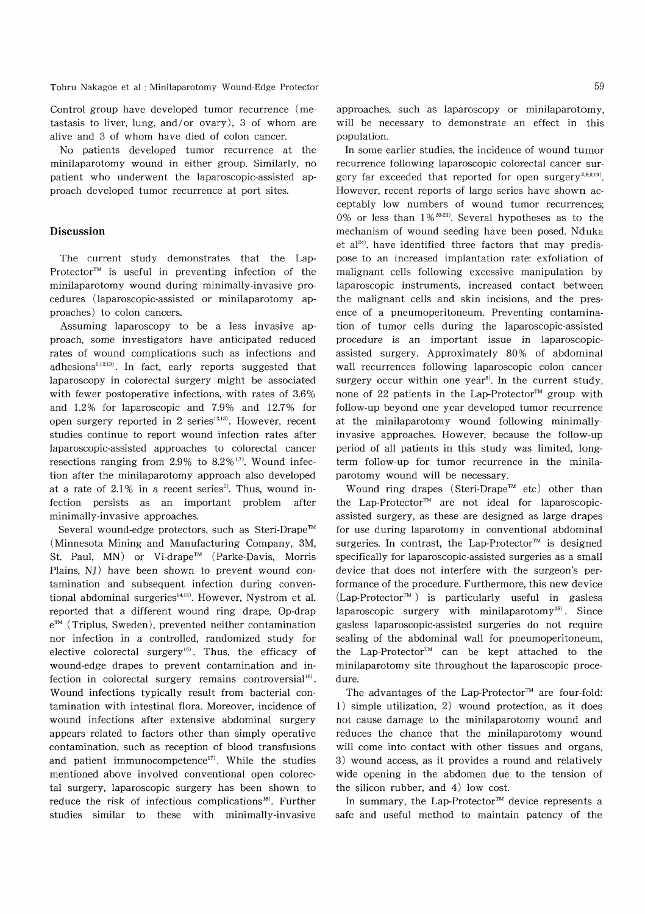Tohru Nakagoe et al : Minilaparotomy Wound-Edge Protector

Control group have developed tumor recurrence (metastasis to liver, lung, and/or ovary), 3 of whom are alive and 3 of whom have died of colon cancer.

No patients developed tumor recurrence at the minilaparotomy wound in either group. Similarly, no patient who underwent the laparoscopic-assisted approach developed tumor recurrence at port sites.

# Discussion

The current study demonstrates that the Lap-Protector<sup> $M$ </sup> is useful in preventing infection of the minilaparotomy wound during minimally-invasive procedures (laparoscopic-assisted or minilaparotomy approaches) to colon cancers.

Assuming laparoscopy to be a less invasive approach, some investigators have anticipated reduced rates of wound complications such as infections and adhesions<sup>6,12,13</sup>). In fact, early reports suggested that laparoscopy in colorectal surgery might be associated with fewer postoperative infections, with rates of 3.6% and 1.2% for laparoscopic and 7.9% and 12.7% for open surgery reported in 2 series $12,13$ ). However, recent studies continue to report wound infection rates after laparoscopic-assisted approaches to colorectal cancer resections ranging from 2.9% to  $8.2\%$ <sup>1,7)</sup>. Wound infection after the minilaparotomy approach also developed at a rate of 2.1 % in a recent series'). Thus, wound infection persists as an important problem after minimally-invasive approaches.

Several wound-edge protectors, such as Steri-Drape<sup>™</sup> (Minnesota Mining and Manufacturing Company, 3M, St. Paul, MN) or Vi-drape" (Parke-Davis, Morris Plains, NJ) have been shown to prevent wound contamination and subsequent infection during conventional abdominal surgeries<sup>14,15)</sup>. However, Nystrom et al. reported that a different wound ring drape, Op-drap  $e^{m}$  (Triplus, Sweden), prevented neither contamination nor infection in a controlled, randomized study for elective colorectal surgery<sup>16)</sup>. Thus, the efficacy of wound-edge drapes to prevent contamination and infection in colorectal surgery remains controversial<sup>16)</sup>. Wound infections typically result from bacterial contamination with intestinal flora. Moreover, incidence of wound infections after extensive abdominal surgery appears related to factors other than simply operative contamination, such as reception of blood transfusions and patient immunocompetence $17$ . While the studies mentioned above involved conventional open colorectal surgery, laparoscopic surgery has been shown to reduce the risk of infectious complications<sup>18)</sup>. Further studies similar to these with minimally-invasive

approaches, such as laparoscopy or minilaparotomy, will be necessary to demonstrate an effect in this population.

In some earlier studies, the incidence of wound tumor recurrence following laparoscopic colorectal cancer surgery far exceeded that reported for open surgery<sup>2,8,9,19</sup>. However, recent reports of large series have shown acceptably low numbers of wound tumor recurrences; 0% or less than  $1\%^{20-23}$ . Several hypotheses as to the mechanism of wound seeding have been posed. Nduka et a124). have identified three factors that may predispose to an increased implantation rate: exfoliation of malignant cells following excessive manipulation by laparoscopic instruments, increased contact between the malignant cells and skin incisions, and the presence of a pneumoperitoneum. Preventing contamination of tumor cells during the laparoscopic-assisted procedure is an important issue in laparoscopicassisted surgery. Approximately 80% of abdominal wall recurrences following laparoscopic colon cancer surgery occur within one year<sup>8)</sup>. In the current study, none of 22 patients in the Lap-Protector<sup> $m$ </sup> group with follow-up beyond one year developed tumor recurrence at the minilaparotomy wound following minimallyinvasive approaches. However, because the follow-up period of all patients in this study was limited, longterm follow-up for tumor recurrence in the minilaparotomy wound will be necessary.

Wound ring drapes (Steri-Drape<sup>™</sup> etc) other than the Lap-Protector<sup>™</sup> are not ideal for laparoscopicassisted surgery, as these are designed as large drapes for use during laparotomy in conventional abdominal surgeries. In contrast, the Lap-Protector<sup>™</sup> is designed specifically for laparoscopic-assisted surgeries as a small device that does not interfere with the surgeon's performance of the procedure. Furthermore, this new device  $(Lap-Protector^{TM})$  is particularly useful in gasless laparoscopic surgery with minilaparotomy<sup>25)</sup>. Since gasless laparoscopic-assisted surgeries do not require sealing of the abdominal wall for pneumoperitoneum, the Lap-Protector" can be kept attached to the minilaparotomy site throughout the laparoscopic procedure.

The advantages of the Lap-Protector<sup> $m$ </sup> are four-fold: 1) simple utilization, 2) wound protection, as it does not cause damage to the minilaparotomy wound and reduces the chance that the minilaparotomy wound will come into contact with other tissues and organs, 3) wound access, as it provides a round and relatively wide opening in the abdomen due to the tension of the silicon rubber, and 4) low cost.

In summary, the Lap-Protector<sup> $m$ </sup> device represents a safe and useful method to maintain patency of the